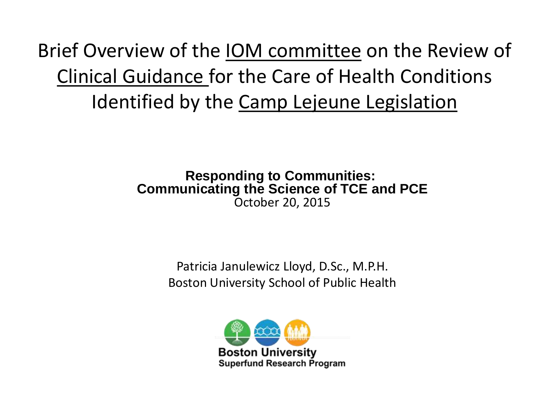Brief Overview of the IOM committee on the Review of Clinical Guidance for the Care of Health Conditions Identified by the Camp Lejeune Legislation

#### **Responding to Communities: Communicating the Science of TCE and PCE** October 20, 2015

Patricia Janulewicz Lloyd, D.Sc., M.P.H. Boston University School of Public Health

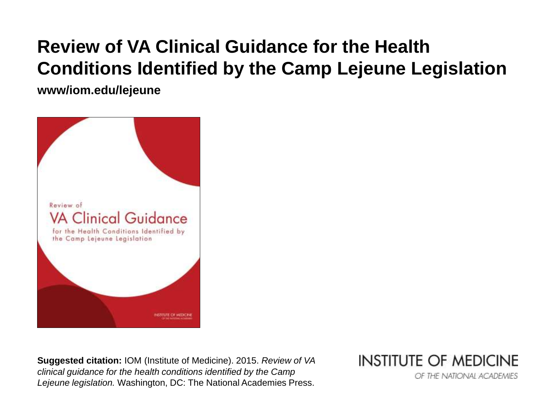#### **Review of VA Clinical Guidance for the Health Conditions Identified by the Camp Lejeune Legislation**

**www/iom.edu/lejeune**



**Suggested citation:** IOM (Institute of Medicine). 2015. *Review of VA clinical guidance for the health conditions identified by the Camp Lejeune legislation.* Washington, DC: The National Academies Press.

**INSTITUTE OF MEDICINE** 

OF THE NATIONAL ACADEMIES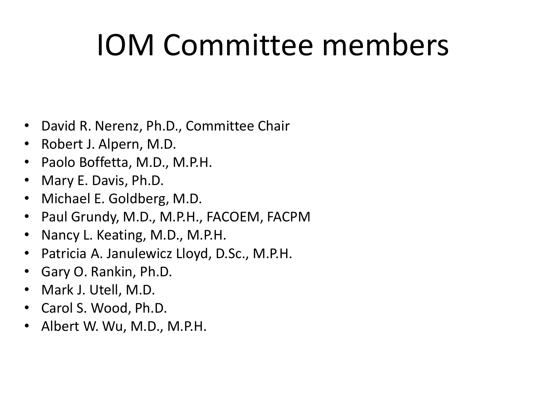# IOM Committee members

- David R. Nerenz, Ph.D., Committee Chair
- Robert J. Alpern, M.D.
- Paolo Boffetta, M.D., M.P.H.
- Mary E. Davis, Ph.D.
- Michael E. Goldberg, M.D.
- Paul Grundy, M.D., M.P.H., FACOEM, FACPM
- Nancy L. Keating, M.D., M.P.H.
- Patricia A. Janulewicz Lloyd, D.Sc., M.P.H.
- Gary O. Rankin, Ph.D.
- Mark J. Utell, M.D.
- Carol S. Wood, Ph.D.
- Albert W. Wu, M.D., M.P.H.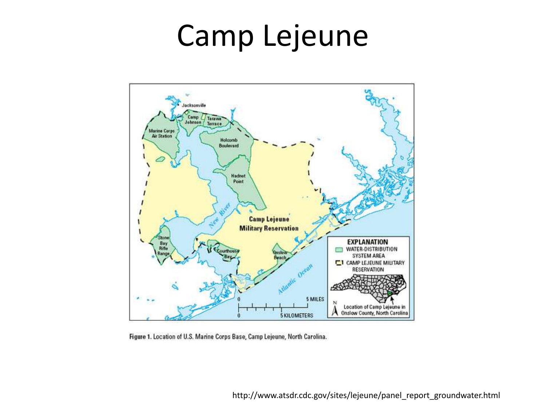#### Camp Lejeune



Figure 1. Location of U.S. Marine Corps Base, Camp Lejeune, North Carolina.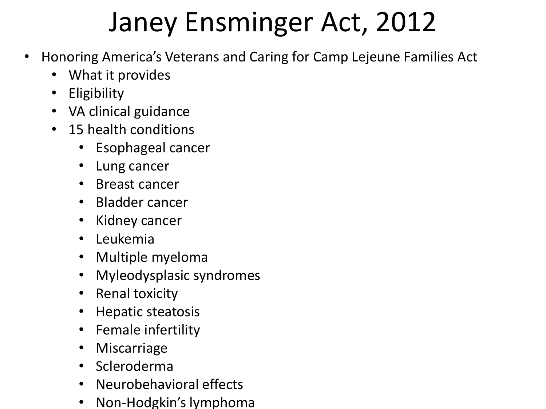#### Janey Ensminger Act, 2012

- Honoring America's Veterans and Caring for Camp Lejeune Families Act
	- What it provides
	- Eligibility
	- VA clinical guidance
	- 15 health conditions
		- Esophageal cancer
		- Lung cancer
		- Breast cancer
		- Bladder cancer
		- Kidney cancer
		- Leukemia
		- Multiple myeloma
		- Myleodysplasic syndromes
		- Renal toxicity
		- Hepatic steatosis
		- Female infertility
		- Miscarriage
		- Scleroderma
		- Neurobehavioral effects
		- Non-Hodgkin's lymphoma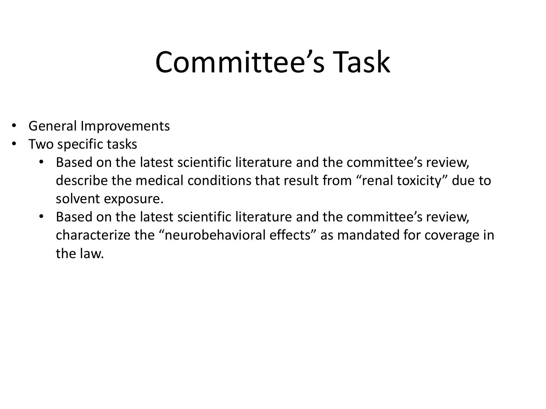### Committee's Task

- General Improvements
- Two specific tasks
	- Based on the latest scientific literature and the committee's review, describe the medical conditions that result from "renal toxicity" due to solvent exposure.
	- Based on the latest scientific literature and the committee's review, characterize the "neurobehavioral effects" as mandated for coverage in the law.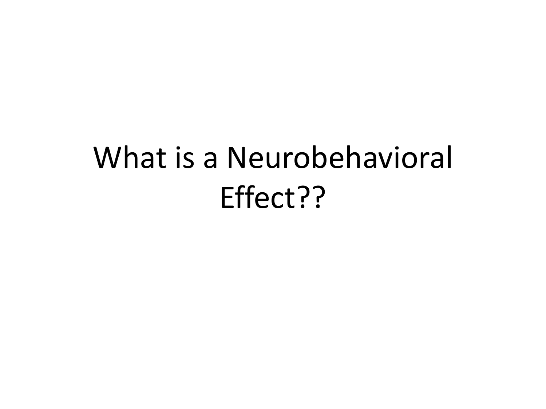# What is a Neurobehavioral Effect??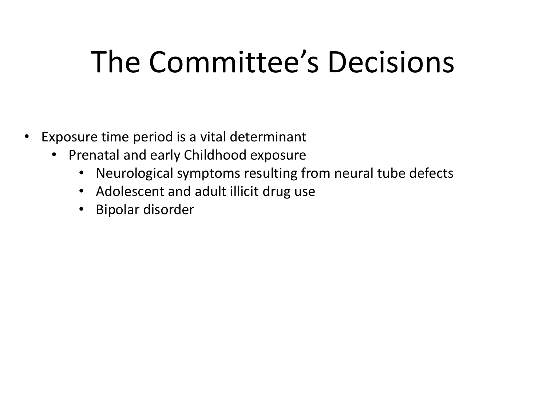# The Committee's Decisions

- Exposure time period is a vital determinant
	- Prenatal and early Childhood exposure
		- Neurological symptoms resulting from neural tube defects
		- Adolescent and adult illicit drug use
		- Bipolar disorder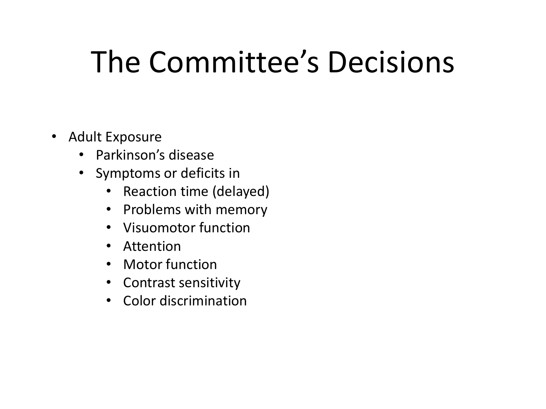# The Committee's Decisions

- Adult Exposure
	- Parkinson's disease
	- Symptoms or deficits in
		- Reaction time (delayed)
		- Problems with memory
		- Visuomotor function
		- Attention
		- Motor function
		- Contrast sensitivity
		- Color discrimination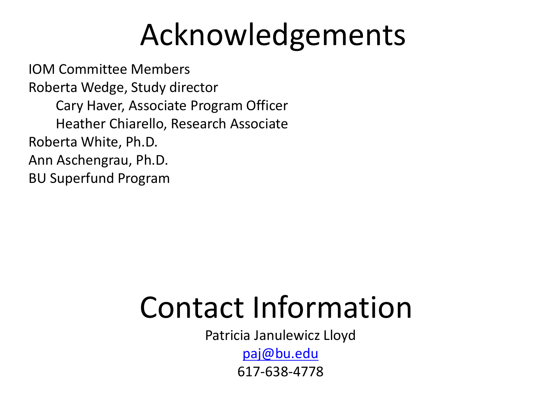# Acknowledgements

IOM Committee Members Roberta Wedge, Study director Cary Haver, Associate Program Officer Heather Chiarello, Research Associate Roberta White, Ph.D. Ann Aschengrau, Ph.D. BU Superfund Program

### Contact Information

Patricia Janulewicz Lloyd

[paj@bu.edu](mailto:paj@bu.edu)

617-638-4778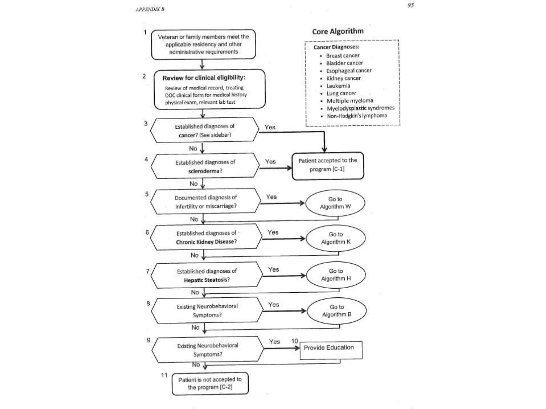

95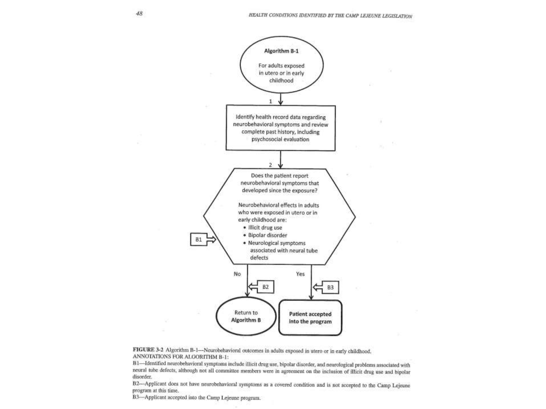u



FIGURE 3-2 Algorithm B-1--Neurobehavioral outcomes in adults exposed in utero or in early childhood, ANNOTATIONS FOR ALGORITHM B-1:

B1-Identified neurobehavioral symptoms include illicit drug use, bipolar disorder, and neurological problems associated with neural tube defects, although not all committee members were in agreement on the inclusion of illicit drug use and bipolar disorder.

B2-Applicant does not have neurobehavioral symptoms as a covered condition and is not accepted to the Camp Lejeune program at this time.

B3-Applicant accepted into the Camp Lejeune program.